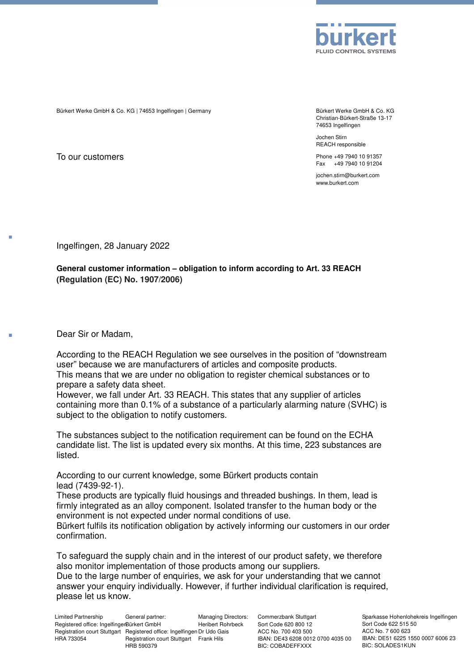

Bürkert Werke GmbH & Co. KG | 74653 Ingelfingen | Germany | Germany | Bürkert Werke GmbH & Co. KG

To our customers

Christian-Bürkert-Straße 13-17 74653 Ingelfingen

Jochen Stirn REACH responsible

Phone +49 7940 10 91357 Fax +49 7940 10 91204

jochen.stirn@burkert.com www.burkert.com

Ingelfingen, 28 January 2022

**General customer information – obligation to inform according to Art. 33 REACH (Regulation (EC) No. 1907/2006)**

Dear Sir or Madam,

According to the REACH Regulation we see ourselves in the position of "downstream user" because we are manufacturers of articles and composite products. This means that we are under no obligation to register chemical substances or to prepare a safety data sheet.

However, we fall under Art. 33 REACH. This states that any supplier of articles containing more than 0.1% of a substance of a particularly alarming nature (SVHC) is subject to the obligation to notify customers.

The substances subject to the notification requirement can be found on the ECHA candidate list. The list is updated every six months. At this time, 223 substances are listed.

According to our current knowledge, some Bürkert products contain lead (7439-92-1).

These products are typically fluid housings and threaded bushings. In them, lead is firmly integrated as an alloy component. Isolated transfer to the human body or the environment is not expected under normal conditions of use.

Bürkert fulfils its notification obligation by actively informing our customers in our order confirmation.

To safeguard the supply chain and in the interest of our product safety, we therefore also monitor implementation of those products among our suppliers. Due to the large number of enquiries, we ask for your understanding that we cannot answer your enquiry individually. However, if further individual clarification is required, please let us know.

Limited Partnership Registered office: IngelfingerBürkert GmbH Registration court Stuttgart Registered office: Ingelfingen Dr Udo Gais HRA 733054 General partner: Registration court Stuttgart Frank Hils HRB 590379 Managing Directors: Heribert Rohrbeck

IBAN: DE51 6225 1550 0007 6006 23 IBAN: DE43 6208 0012 0700 4035 00 Commerzbank Stuttgart Sort Code 620 800 12 ACC No. 700 403 500 BIC: COBADEFFXXX

Sparkasse Hohenlohekreis Ingelfingen Sort Code 622 515 50 ACC No. 7 600 623 BIC: SOLADES1KUN